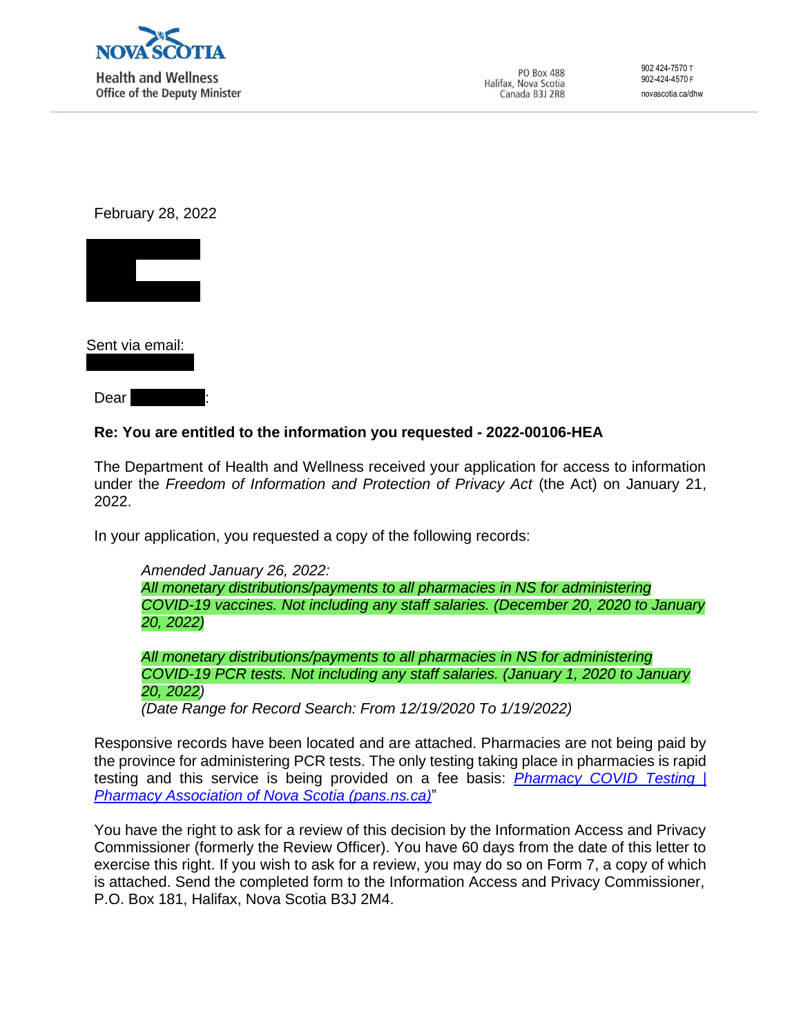

PO Box 488 Halifax, Nova Scotia Canada B3J 2R8

902 424-7570 T 902-424-4570 F novascotia.ca/dhw

February 28, 2022



Sent via email:

 $Dear$ 

## **Re: You are entitled to the information you requested - 2022-00106-HEA**

The Department of Health and Wellness received your application for access to information under the *Freedom of Information and Protection of Privacy Act* (the Act) on January 21, 2022.

In your application, you requested a copy of the following records:

*Amended January 26, 2022: All monetary distributions/payments to all pharmacies in NS for administering COVID-19 vaccines. Not including any staff salaries. (December 20, 2020 to January 20, 2022)*

*All monetary distributions/payments to all pharmacies in NS for administering COVID-19 PCR tests. Not including any staff salaries. (January 1, 2020 to January 20, 2022) (Date Range for Record Search: From 12/19/2020 To 1/19/2022)*

Responsive records have been located and are attached. Pharmacies are not being paid by the province for administering PCR tests. The only testing taking place in pharmacies is rapid testing and this service is being provided on a fee basis: *[Pharmacy COVID Testing |](https://can01.safelinks.protection.outlook.com/?url=https%3A%2F%2Fpans.ns.ca%2FpharmacyCOVIDtesting&data=04%7C01%7CMelinda.Frelick%40novascotia.ca%7C1db368fcf6504850ee1d08d9ec161862%7C8eb23313ce754345a56a297a2412b4db%7C0%7C0%7C637800401904227474%7CUnknown%7CTWFpbGZsb3d8eyJWIjoiMC4wLjAwMDAiLCJQIjoiV2luMzIiLCJBTiI6Ik1haWwiLCJXVCI6Mn0%3D%7C3000&sdata=C24Jy324UxxvCQb20KPacZ82zTeBd%2B7Bd72AyB00VNI%3D&reserved=0) Pharmacy Association of Nova Scotia [\(pans.ns.ca\)](https://can01.safelinks.protection.outlook.com/?url=https%3A%2F%2Fpans.ns.ca%2FpharmacyCOVIDtesting&data=04%7C01%7CMelinda.Frelick%40novascotia.ca%7C1db368fcf6504850ee1d08d9ec161862%7C8eb23313ce754345a56a297a2412b4db%7C0%7C0%7C637800401904227474%7CUnknown%7CTWFpbGZsb3d8eyJWIjoiMC4wLjAwMDAiLCJQIjoiV2luMzIiLCJBTiI6Ik1haWwiLCJXVCI6Mn0%3D%7C3000&sdata=C24Jy324UxxvCQb20KPacZ82zTeBd%2B7Bd72AyB00VNI%3D&reserved=0)*"

You have the right to ask for a review of this decision by the Information Access and Privacy Commissioner (formerly the Review Officer). You have 60 days from the date of this letter to exercise this right. If you wish to ask for a review, you may do so on Form 7, a copy of which is attached. Send the completed form to the Information Access and Privacy Commissioner, P.O. Box 181, Halifax, Nova Scotia B3J 2M4.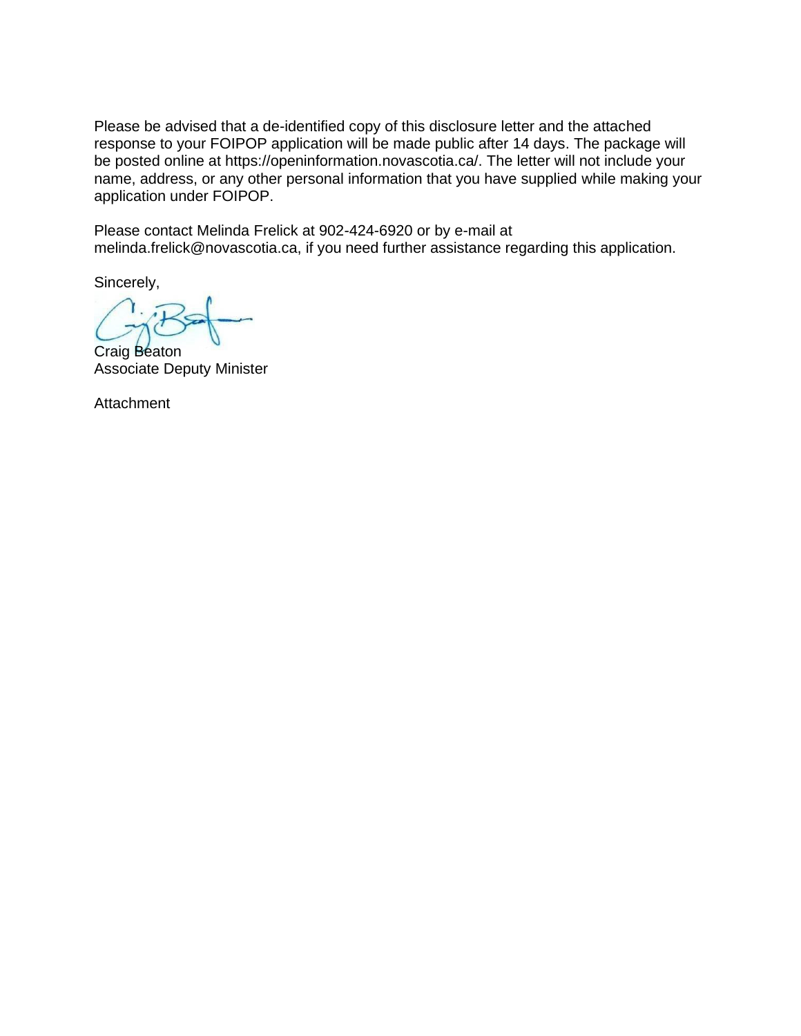Please be advised that a de-identified copy of this disclosure letter and the attached response to your FOIPOP application will be made public after 14 days. The package will be posted online at https://openinformation.novascotia.ca/. The letter will not include your name, address, or any other personal information that you have supplied while making your application under FOIPOP.

Please contact Melinda Frelick at 902-424-6920 or by e-mail at [melinda.frelick@novascotia.ca,](mailto:melinda.frelick@novascotia.ca) if you need further assistance regarding this application.

Sincerely,

Craig Beaton Associate Deputy Minister

**Attachment**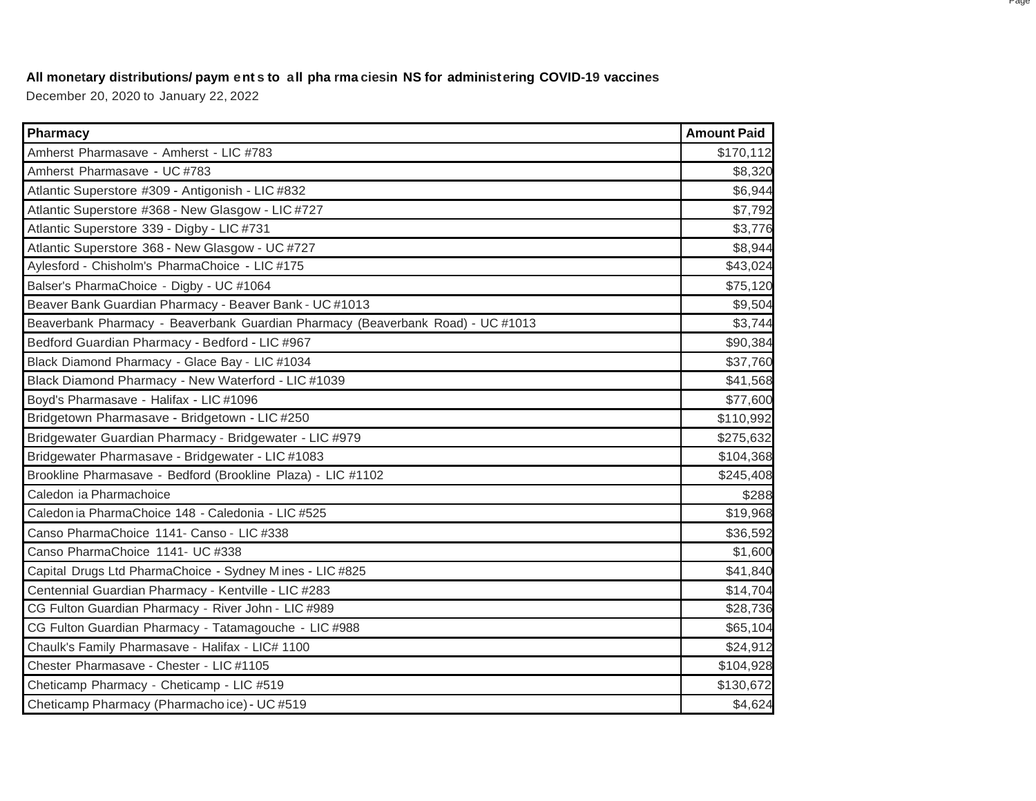## **All monetary distributions/ paym ent s to all pha rma ciesin NS for administering COVID-19 vaccines**

December 20, 2020 to January 22, 2022

| Pharmacy                                                                        | <b>Amount Paid</b> |
|---------------------------------------------------------------------------------|--------------------|
| Amherst Pharmasave - Amherst - LIC #783                                         | \$170,112          |
| Amherst Pharmasave - UC #783                                                    | \$8,320            |
| Atlantic Superstore #309 - Antigonish - LIC #832                                | \$6,944            |
| Atlantic Superstore #368 - New Glasgow - LIC #727                               | \$7,792            |
| Atlantic Superstore 339 - Digby - LIC #731                                      | \$3,776            |
| Atlantic Superstore 368 - New Glasgow - UC #727                                 | \$8,944            |
| Aylesford - Chisholm's PharmaChoice - LIC #175                                  | \$43,024           |
| Balser's PharmaChoice - Digby - UC #1064                                        | \$75,120           |
| Beaver Bank Guardian Pharmacy - Beaver Bank - UC #1013                          | \$9,504            |
| Beaverbank Pharmacy - Beaverbank Guardian Pharmacy (Beaverbank Road) - UC #1013 | \$3,744            |
| Bedford Guardian Pharmacy - Bedford - LIC #967                                  | \$90,384           |
| Black Diamond Pharmacy - Glace Bay - LIC #1034                                  | \$37,760           |
| Black Diamond Pharmacy - New Waterford - LIC #1039                              | \$41,568           |
| Boyd's Pharmasave - Halifax - LIC #1096                                         | \$77,600           |
| Bridgetown Pharmasave - Bridgetown - LIC #250                                   | \$110,992          |
| Bridgewater Guardian Pharmacy - Bridgewater - LIC #979                          | \$275,632          |
| Bridgewater Pharmasave - Bridgewater - LIC #1083                                | \$104,368          |
| Brookline Pharmasave - Bedford (Brookline Plaza) - LIC #1102                    | \$245,408          |
| Caledon ia Pharmachoice                                                         | \$288              |
| Caledon ia PharmaChoice 148 - Caledonia - LIC #525                              | \$19,968           |
| Canso PharmaChoice 1141- Canso - LIC #338                                       | \$36,592           |
| Canso PharmaChoice 1141- UC #338                                                | \$1,600            |
| Capital Drugs Ltd PharmaChoice - Sydney Mines - LIC #825                        | \$41,840           |
| Centennial Guardian Pharmacy - Kentville - LIC #283                             | \$14,704           |
| CG Fulton Guardian Pharmacy - River John - LIC #989                             | \$28,736           |
| CG Fulton Guardian Pharmacy - Tatamagouche - LIC #988                           | \$65,104           |
| Chaulk's Family Pharmasave - Halifax - LIC# 1100                                | \$24,912           |
| Chester Pharmasave - Chester - LIC #1105                                        | \$104,928          |
| Cheticamp Pharmacy - Cheticamp - LIC #519                                       | \$130,672          |
| Cheticamp Pharmacy (Pharmachoice) - UC #519                                     | \$4,624            |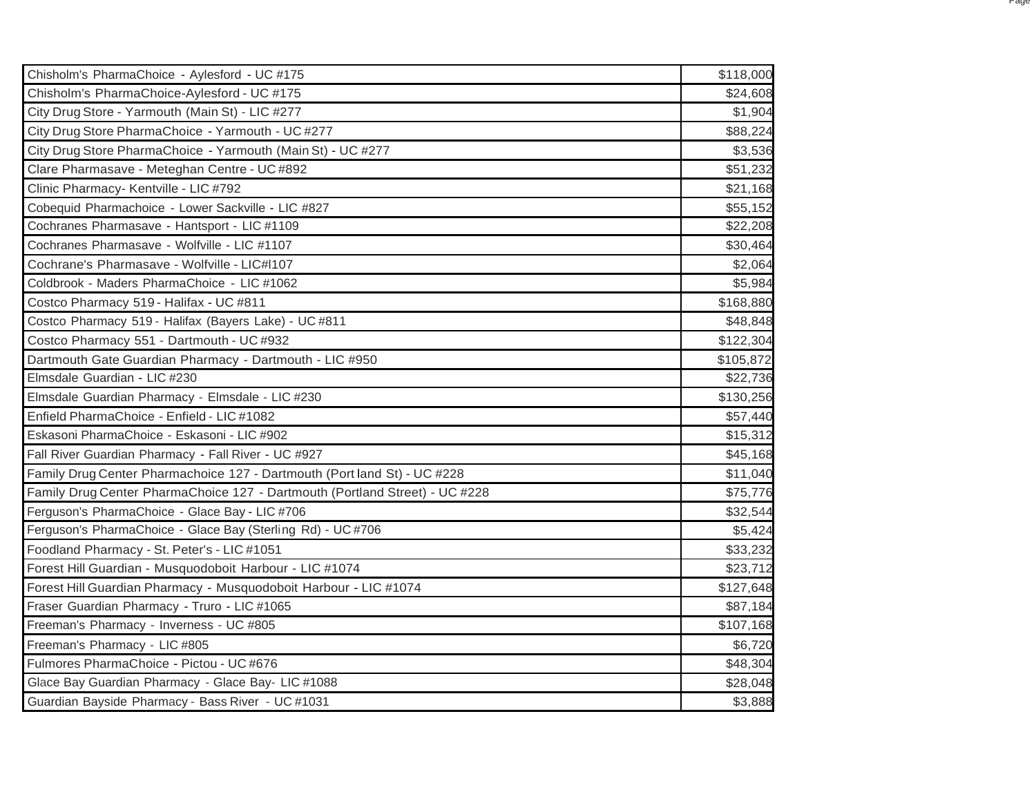| Chisholm's PharmaChoice - Aylesford - UC #175                               | \$118,000 |
|-----------------------------------------------------------------------------|-----------|
| Chisholm's PharmaChoice-Aylesford - UC #175                                 | \$24,608  |
| City Drug Store - Yarmouth (Main St) - LIC #277                             | \$1,904   |
| City Drug Store PharmaChoice - Yarmouth - UC #277                           | \$88,224  |
| City Drug Store PharmaChoice - Yarmouth (Main St) - UC #277                 | \$3,536   |
| Clare Pharmasave - Meteghan Centre - UC #892                                | \$51,232  |
| Clinic Pharmacy- Kentville - LIC #792                                       | \$21,168  |
| Cobequid Pharmachoice - Lower Sackville - LIC #827                          | \$55,152  |
| Cochranes Pharmasave - Hantsport - LIC #1109                                | \$22,208  |
| Cochranes Pharmasave - Wolfville - LIC #1107                                | \$30,464  |
| Cochrane's Pharmasave - Wolfville - LIC#I107                                | \$2,064   |
| Coldbrook - Maders PharmaChoice - LIC #1062                                 | \$5,984   |
| Costco Pharmacy 519 - Halifax - UC #811                                     | \$168,880 |
| Costco Pharmacy 519 - Halifax (Bayers Lake) - UC #811                       | \$48,848  |
| Costco Pharmacy 551 - Dartmouth - UC #932                                   | \$122,304 |
| Dartmouth Gate Guardian Pharmacy - Dartmouth - LIC #950                     | \$105,872 |
| Elmsdale Guardian - LIC #230                                                | \$22,736  |
| Elmsdale Guardian Pharmacy - Elmsdale - LIC #230                            | \$130,256 |
| Enfield PharmaChoice - Enfield - LIC #1082                                  | \$57,440  |
| Eskasoni PharmaChoice - Eskasoni - LIC #902                                 | \$15,312  |
| Fall River Guardian Pharmacy - Fall River - UC #927                         | \$45,168  |
| Family Drug Center Pharmachoice 127 - Dartmouth (Port land St) - UC #228    | \$11,040  |
| Family Drug Center PharmaChoice 127 - Dartmouth (Portland Street) - UC #228 | \$75,776  |
| Ferguson's PharmaChoice - Glace Bay - LIC #706                              | \$32,544  |
| Ferguson's PharmaChoice - Glace Bay (Sterling Rd) - UC #706                 | \$5,424   |
| Foodland Pharmacy - St. Peter's - LIC #1051                                 | \$33,232  |
| Forest Hill Guardian - Musquodoboit Harbour - LIC #1074                     | \$23,712  |
| Forest Hill Guardian Pharmacy - Musquodoboit Harbour - LIC #1074            | \$127,648 |
| Fraser Guardian Pharmacy - Truro - LIC #1065                                | \$87,184  |
| Freeman's Pharmacy - Inverness - UC #805                                    | \$107,168 |
| Freeman's Pharmacy - LIC #805                                               | \$6,720   |
| Fulmores PharmaChoice - Pictou - UC #676                                    | \$48,304  |
| Glace Bay Guardian Pharmacy - Glace Bay- LIC #1088                          | \$28,048  |
| Guardian Bayside Pharmacy - Bass River - UC #1031                           | \$3,888   |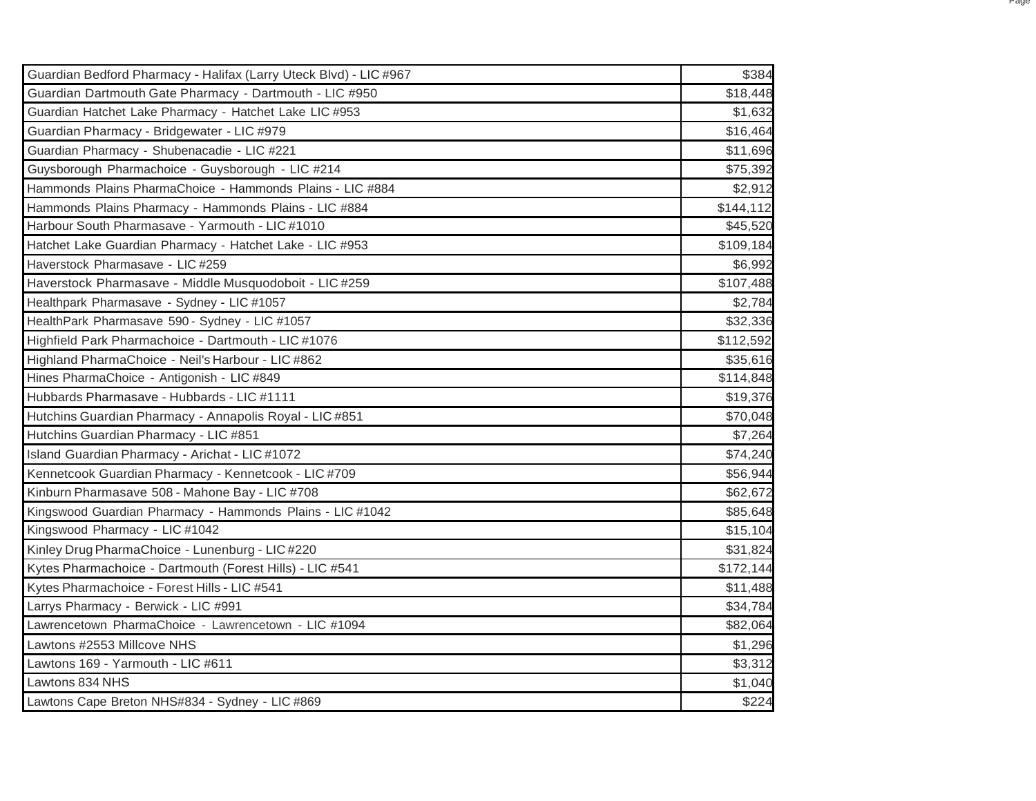| Guardian Bedford Pharmacy - Halifax (Larry Uteck Blvd) - LIC #967 | \$384     |
|-------------------------------------------------------------------|-----------|
| Guardian Dartmouth Gate Pharmacy - Dartmouth - LIC #950           | \$18,448  |
| Guardian Hatchet Lake Pharmacy - Hatchet Lake LIC #953            | \$1,632   |
| Guardian Pharmacy - Bridgewater - LIC #979                        | \$16,464  |
| Guardian Pharmacy - Shubenacadie - LIC #221                       | \$11,696  |
| Guysborough Pharmachoice - Guysborough - LIC #214                 | \$75,392  |
| Hammonds Plains PharmaChoice - Hammonds Plains - LIC #884         | \$2,912   |
| Hammonds Plains Pharmacy - Hammonds Plains - LIC #884             | \$144,112 |
| Harbour South Pharmasave - Yarmouth - LIC #1010                   | \$45,520  |
| Hatchet Lake Guardian Pharmacy - Hatchet Lake - LIC #953          | \$109,184 |
| Haverstock Pharmasave - LIC #259                                  | \$6,992   |
| Haverstock Pharmasave - Middle Musquodoboit - LIC #259            | \$107,488 |
| Healthpark Pharmasave - Sydney - LIC #1057                        | \$2,784   |
| HealthPark Pharmasave 590 - Sydney - LIC #1057                    | \$32,336  |
| Highfield Park Pharmachoice - Dartmouth - LIC #1076               | \$112,592 |
| Highland PharmaChoice - Neil's Harbour - LIC #862                 | \$35,616  |
| Hines PharmaChoice - Antigonish - LIC #849                        | \$114,848 |
| Hubbards Pharmasave - Hubbards - LIC #1111                        | \$19,376  |
| Hutchins Guardian Pharmacy - Annapolis Royal - LIC #851           | \$70,048  |
| Hutchins Guardian Pharmacy - LIC #851                             | \$7,264   |
| Island Guardian Pharmacy - Arichat - LIC #1072                    | \$74,240  |
| Kennetcook Guardian Pharmacy - Kennetcook - LIC #709              | \$56,944  |
| Kinburn Pharmasave 508 - Mahone Bay - LIC #708                    | \$62,672  |
| Kingswood Guardian Pharmacy - Hammonds Plains - LIC #1042         | \$85,648  |
| Kingswood Pharmacy - LIC #1042                                    | \$15,104  |
| Kinley Drug PharmaChoice - Lunenburg - LIC #220                   | \$31,824  |
| Kytes Pharmachoice - Dartmouth (Forest Hills) - LIC #541          | \$172,144 |
| Kytes Pharmachoice - Forest Hills - LIC #541                      | \$11,488  |
| Larrys Pharmacy - Berwick - LIC #991                              | \$34,784  |
| Lawrencetown PharmaChoice - Lawrencetown - LIC #1094              | \$82,064  |
| Lawtons #2553 Millcove NHS                                        | \$1,296   |
| Lawtons 169 - Yarmouth - LIC #611                                 | \$3,312   |
| Lawtons 834 NHS                                                   | \$1,040   |
| Lawtons Cape Breton NHS#834 - Sydney - LIC #869                   | \$224     |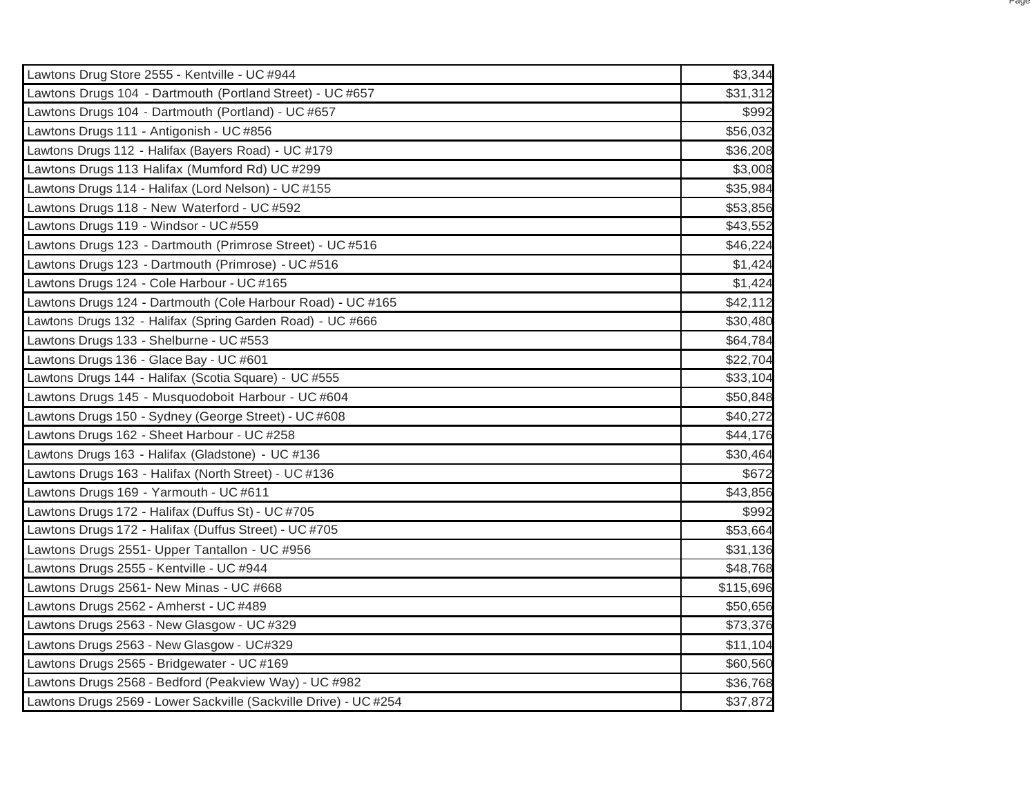| Lawtons Drug Store 2555 - Kentville - UC #944                    | \$3,344   |
|------------------------------------------------------------------|-----------|
| Lawtons Drugs 104 - Dartmouth (Portland Street) - UC #657        | \$31,312  |
| Lawtons Drugs 104 - Dartmouth (Portland) - UC #657               | \$992     |
| Lawtons Drugs 111 - Antigonish - UC #856                         | \$56,032  |
| Lawtons Drugs 112 - Halifax (Bayers Road) - UC #179              | \$36,208  |
| Lawtons Drugs 113 Halifax (Mumford Rd) UC #299                   | \$3,008   |
| Lawtons Drugs 114 - Halifax (Lord Nelson) - UC #155              | \$35,984  |
| Lawtons Drugs 118 - New Waterford - UC #592                      | \$53,856  |
| Lawtons Drugs 119 - Windsor - UC#559                             | \$43,552  |
| Lawtons Drugs 123 - Dartmouth (Primrose Street) - UC #516        | \$46,224  |
| Lawtons Drugs 123 - Dartmouth (Primrose) - UC #516               | \$1,424   |
| Lawtons Drugs 124 - Cole Harbour - UC #165                       | \$1,424   |
| Lawtons Drugs 124 - Dartmouth (Cole Harbour Road) - UC #165      | \$42,112  |
| Lawtons Drugs 132 - Halifax (Spring Garden Road) - UC #666       | \$30,480  |
| Lawtons Drugs 133 - Shelburne - UC #553                          | \$64,784  |
| Lawtons Drugs 136 - Glace Bay - UC #601                          | \$22,704  |
| Lawtons Drugs 144 - Halifax (Scotia Square) - UC #555            | \$33,104  |
| Lawtons Drugs 145 - Musquodoboit Harbour - UC #604               | \$50,848  |
| Lawtons Drugs 150 - Sydney (George Street) - UC #608             | \$40,272  |
| Lawtons Drugs 162 - Sheet Harbour - UC #258                      | \$44,176  |
| Lawtons Drugs 163 - Halifax (Gladstone) - UC #136                | \$30,464  |
| Lawtons Drugs 163 - Halifax (North Street) - UC #136             | \$672     |
| Lawtons Drugs 169 - Yarmouth - UC #611                           | \$43,856  |
| Lawtons Drugs 172 - Halifax (Duffus St) - UC #705                | \$992     |
| Lawtons Drugs 172 - Halifax (Duffus Street) - UC #705            | \$53,664  |
| Lawtons Drugs 2551- Upper Tantallon - UC #956                    | \$31,136  |
| Lawtons Drugs 2555 - Kentville - UC #944                         | \$48,768  |
| Lawtons Drugs 2561- New Minas - UC #668                          | \$115,696 |
| Lawtons Drugs 2562 - Amherst - UC #489                           | \$50,656  |
| Lawtons Drugs 2563 - New Glasgow - UC #329                       | \$73,376  |
| Lawtons Drugs 2563 - New Glasgow - UC#329                        | \$11,104  |
| Lawtons Drugs 2565 - Bridgewater - UC #169                       | \$60,560  |
| Lawtons Drugs 2568 - Bedford (Peakview Way) - UC #982            | \$36,768  |
| Lawtons Drugs 2569 - Lower Sackville (Sackville Drive) - UC #254 | \$37,872  |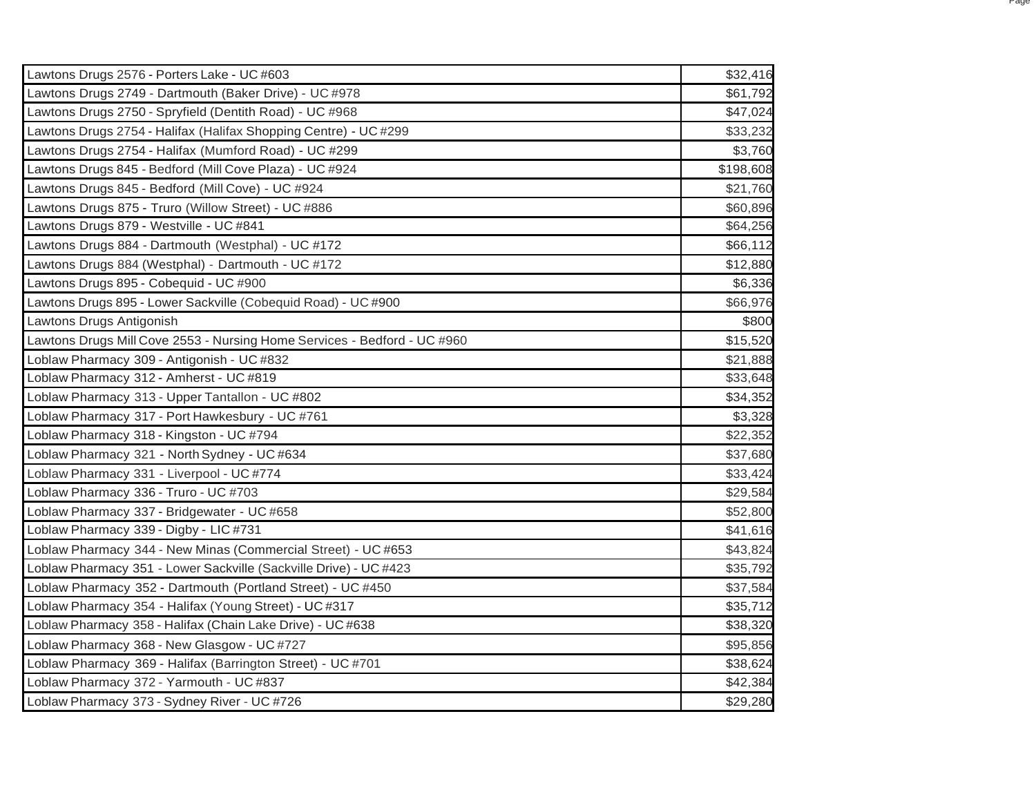| Lawtons Drugs 2576 - Porters Lake - UC #603                              | \$32,416  |
|--------------------------------------------------------------------------|-----------|
| Lawtons Drugs 2749 - Dartmouth (Baker Drive) - UC #978                   | \$61,792  |
| Lawtons Drugs 2750 - Spryfield (Dentith Road) - UC #968                  | \$47,024  |
| Lawtons Drugs 2754 - Halifax (Halifax Shopping Centre) - UC #299         | \$33,232  |
| Lawtons Drugs 2754 - Halifax (Mumford Road) - UC #299                    | \$3,760   |
| Lawtons Drugs 845 - Bedford (Mill Cove Plaza) - UC #924                  | \$198,608 |
| Lawtons Drugs 845 - Bedford (Mill Cove) - UC #924                        | \$21,760  |
| Lawtons Drugs 875 - Truro (Willow Street) - UC #886                      | \$60,896  |
| Lawtons Drugs 879 - Westville - UC #841                                  | \$64,256  |
| Lawtons Drugs 884 - Dartmouth (Westphal) - UC #172                       | \$66,112  |
| Lawtons Drugs 884 (Westphal) - Dartmouth - UC #172                       | \$12,880  |
| Lawtons Drugs 895 - Cobequid - UC #900                                   | \$6,336   |
| Lawtons Drugs 895 - Lower Sackville (Cobequid Road) - UC #900            | \$66,976  |
| Lawtons Drugs Antigonish                                                 | \$800     |
| Lawtons Drugs Mill Cove 2553 - Nursing Home Services - Bedford - UC #960 | \$15,520  |
| Loblaw Pharmacy 309 - Antigonish - UC #832                               | \$21,888  |
| Loblaw Pharmacy 312 - Amherst - UC #819                                  | \$33,648  |
| Loblaw Pharmacy 313 - Upper Tantallon - UC #802                          | \$34,352  |
| Loblaw Pharmacy 317 - Port Hawkesbury - UC #761                          | \$3,328   |
| Loblaw Pharmacy 318 - Kingston - UC #794                                 | \$22,352  |
| Loblaw Pharmacy 321 - North Sydney - UC #634                             | \$37,680  |
| Loblaw Pharmacy 331 - Liverpool - UC #774                                | \$33,424  |
| Loblaw Pharmacy 336 - Truro - UC #703                                    | \$29,584  |
| Loblaw Pharmacy 337 - Bridgewater - UC #658                              | \$52,800  |
| Loblaw Pharmacy 339 - Digby - LIC #731                                   | \$41,616  |
| Loblaw Pharmacy 344 - New Minas (Commercial Street) - UC #653            | \$43,824  |
| Loblaw Pharmacy 351 - Lower Sackville (Sackville Drive) - UC #423        | \$35,792  |
| Loblaw Pharmacy 352 - Dartmouth (Portland Street) - UC #450              | \$37,584  |
| Loblaw Pharmacy 354 - Halifax (Young Street) - UC #317                   | \$35,712  |
| Loblaw Pharmacy 358 - Halifax (Chain Lake Drive) - UC #638               | \$38,320  |
| Loblaw Pharmacy 368 - New Glasgow - UC #727                              | \$95,856  |
| Loblaw Pharmacy 369 - Halifax (Barrington Street) - UC #701              | \$38,624  |
| Loblaw Pharmacy 372 - Yarmouth - UC #837                                 | \$42,384  |
| Loblaw Pharmacy 373 - Sydney River - UC #726                             | \$29,280  |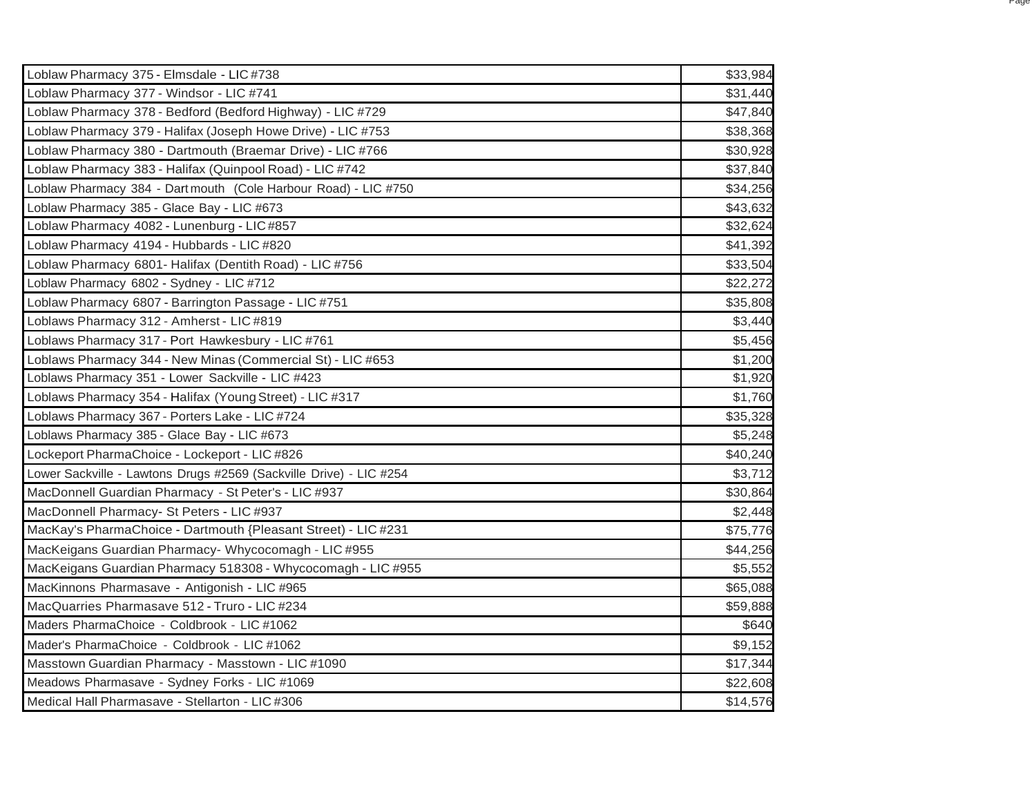| Loblaw Pharmacy 375 - Elmsdale - LIC #738                          | \$33,984 |
|--------------------------------------------------------------------|----------|
| Loblaw Pharmacy 377 - Windsor - LIC #741                           | \$31,440 |
| Loblaw Pharmacy 378 - Bedford (Bedford Highway) - LIC #729         | \$47,840 |
| Loblaw Pharmacy 379 - Halifax (Joseph Howe Drive) - LIC #753       | \$38,368 |
| Loblaw Pharmacy 380 - Dartmouth (Braemar Drive) - LIC #766         | \$30,928 |
| Loblaw Pharmacy 383 - Halifax (Quinpool Road) - LIC #742           | \$37,840 |
| Loblaw Pharmacy 384 - Dartmouth (Cole Harbour Road) - LIC #750     | \$34,256 |
| Loblaw Pharmacy 385 - Glace Bay - LIC #673                         | \$43,632 |
| Loblaw Pharmacy 4082 - Lunenburg - LIC#857                         | \$32,624 |
| Loblaw Pharmacy 4194 - Hubbards - LIC #820                         | \$41,392 |
| Loblaw Pharmacy 6801- Halifax (Dentith Road) - LIC #756            | \$33,504 |
| Loblaw Pharmacy 6802 - Sydney - LIC #712                           | \$22,272 |
| Loblaw Pharmacy 6807 - Barrington Passage - LIC #751               | \$35,808 |
| Loblaws Pharmacy 312 - Amherst - LIC #819                          | \$3,440  |
| Loblaws Pharmacy 317 - Port Hawkesbury - LIC #761                  | \$5,456  |
| Loblaws Pharmacy 344 - New Minas (Commercial St) - LIC #653        | \$1,200  |
| Loblaws Pharmacy 351 - Lower Sackville - LIC #423                  | \$1,920  |
| Loblaws Pharmacy 354 - Halifax (Young Street) - LIC #317           | \$1,760  |
| Loblaws Pharmacy 367 - Porters Lake - LIC #724                     | \$35,328 |
| Loblaws Pharmacy 385 - Glace Bay - LIC #673                        | \$5,248  |
| Lockeport PharmaChoice - Lockeport - LIC #826                      | \$40,240 |
| Lower Sackville - Lawtons Drugs #2569 (Sackville Drive) - LIC #254 | \$3,712  |
| MacDonnell Guardian Pharmacy - St Peter's - LIC #937               | \$30,864 |
| MacDonnell Pharmacy- St Peters - LIC #937                          | \$2,448  |
| MacKay's PharmaChoice - Dartmouth {Pleasant Street) - LIC #231     | \$75,776 |
| MacKeigans Guardian Pharmacy- Whycocomagh - LIC #955               | \$44,256 |
| MacKeigans Guardian Pharmacy 518308 - Whycocomagh - LIC #955       | \$5,552  |
| MacKinnons Pharmasave - Antigonish - LIC #965                      | \$65,088 |
| MacQuarries Pharmasave 512 - Truro - LIC #234                      | \$59,888 |
| Maders PharmaChoice - Coldbrook - LIC #1062                        | \$640    |
| Mader's PharmaChoice - Coldbrook - LIC #1062                       | \$9,152  |
| Masstown Guardian Pharmacy - Masstown - LIC #1090                  | \$17,344 |
| Meadows Pharmasave - Sydney Forks - LIC #1069                      | \$22,608 |
| Medical Hall Pharmasave - Stellarton - LIC #306                    | \$14,576 |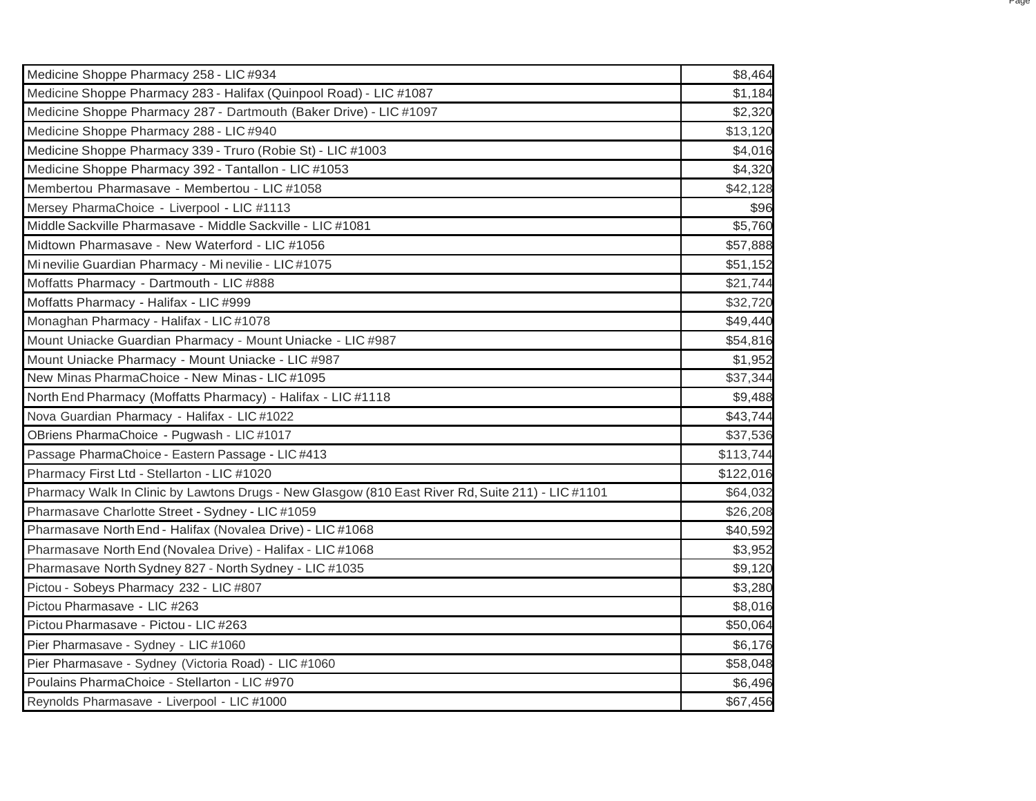| Medicine Shoppe Pharmacy 258 - LIC #934                                                           | \$8,464   |
|---------------------------------------------------------------------------------------------------|-----------|
| Medicine Shoppe Pharmacy 283 - Halifax (Quinpool Road) - LIC #1087                                | \$1,184   |
| Medicine Shoppe Pharmacy 287 - Dartmouth (Baker Drive) - LIC #1097                                | \$2,320   |
| Medicine Shoppe Pharmacy 288 - LIC #940                                                           | \$13,120  |
| Medicine Shoppe Pharmacy 339 - Truro (Robie St) - LIC #1003                                       | \$4,016   |
| Medicine Shoppe Pharmacy 392 - Tantallon - LIC #1053                                              | \$4,320   |
| Membertou Pharmasave - Membertou - LIC #1058                                                      | \$42,128  |
| Mersey PharmaChoice - Liverpool - LIC #1113                                                       | \$96      |
| Middle Sackville Pharmasave - Middle Sackville - LIC #1081                                        | \$5,760   |
| Midtown Pharmasave - New Waterford - LIC #1056                                                    | \$57,888  |
| Mi nevilie Guardian Pharmacy - Mi nevilie - LIC #1075                                             | \$51,152  |
| Moffatts Pharmacy - Dartmouth - LIC #888                                                          | \$21,744  |
| Moffatts Pharmacy - Halifax - LIC #999                                                            | \$32,720  |
| Monaghan Pharmacy - Halifax - LIC #1078                                                           | \$49,440  |
| Mount Uniacke Guardian Pharmacy - Mount Uniacke - LIC #987                                        | \$54,816  |
| Mount Uniacke Pharmacy - Mount Uniacke - LIC #987                                                 | \$1,952   |
| New Minas PharmaChoice - New Minas - LIC #1095                                                    | \$37,344  |
| North End Pharmacy (Moffatts Pharmacy) - Halifax - LIC #1118                                      | \$9,488   |
| Nova Guardian Pharmacy - Halifax - LIC #1022                                                      | \$43,744  |
| OBriens PharmaChoice - Pugwash - LIC #1017                                                        | \$37,536  |
| Passage PharmaChoice - Eastern Passage - LIC #413                                                 | \$113,744 |
| Pharmacy First Ltd - Stellarton - LIC #1020                                                       | \$122,016 |
| Pharmacy Walk In Clinic by Lawtons Drugs - New Glasgow (810 East River Rd, Suite 211) - LIC #1101 | \$64,032  |
| Pharmasave Charlotte Street - Sydney - LIC #1059                                                  | \$26,208  |
| Pharmasave North End - Halifax (Novalea Drive) - LIC #1068                                        | \$40,592  |
| Pharmasave North End (Novalea Drive) - Halifax - LIC #1068                                        | \$3,952   |
| Pharmasave North Sydney 827 - North Sydney - LIC #1035                                            | \$9,120   |
| Pictou - Sobeys Pharmacy 232 - LIC #807                                                           | \$3,280   |
| Pictou Pharmasave - LIC #263                                                                      | \$8,016   |
| Pictou Pharmasave - Pictou - LIC #263                                                             | \$50,064  |
| Pier Pharmasave - Sydney - LIC #1060                                                              | \$6,176   |
| Pier Pharmasave - Sydney (Victoria Road) - LIC #1060                                              | \$58,048  |
| Poulains PharmaChoice - Stellarton - LIC #970                                                     | \$6,496   |
| Reynolds Pharmasave - Liverpool - LIC #1000                                                       | \$67,456  |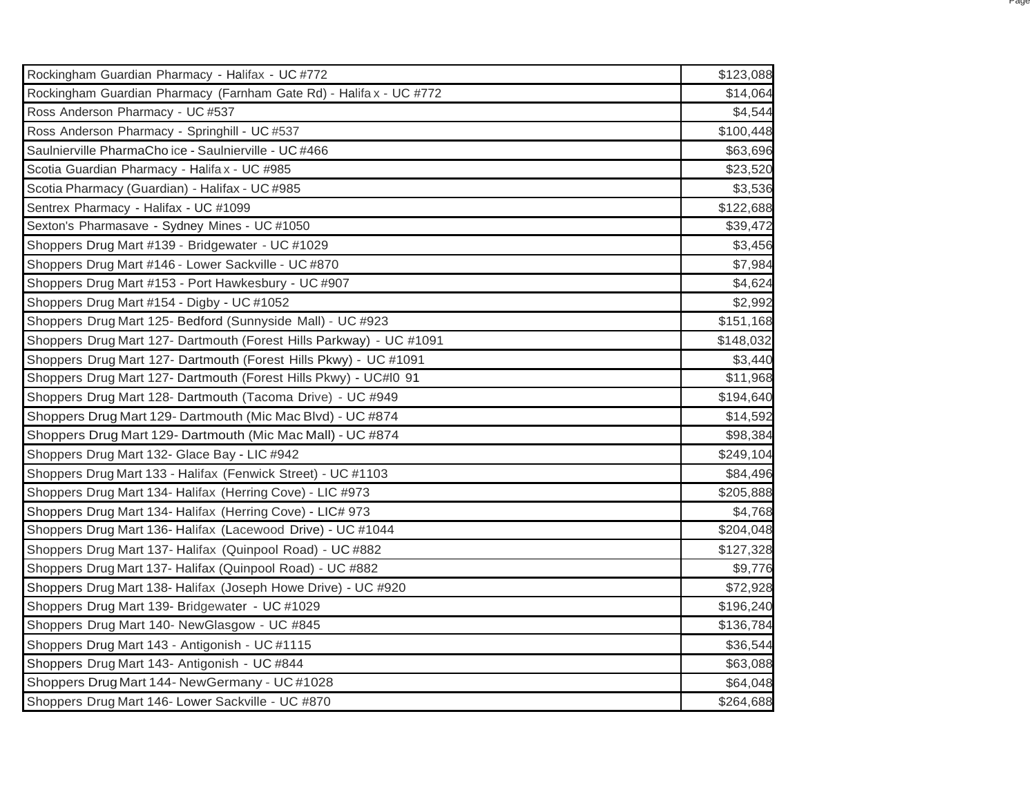| Rockingham Guardian Pharmacy - Halifax - UC #772                    | \$123,088 |
|---------------------------------------------------------------------|-----------|
| Rockingham Guardian Pharmacy (Farnham Gate Rd) - Halifa x - UC #772 | \$14,064  |
| Ross Anderson Pharmacy - UC #537                                    | \$4,544   |
| Ross Anderson Pharmacy - Springhill - UC #537                       | \$100,448 |
| Saulnierville PharmaCho ice - Saulnierville - UC #466               | \$63,696  |
| Scotia Guardian Pharmacy - Halifa x - UC #985                       | \$23,520  |
| Scotia Pharmacy (Guardian) - Halifax - UC #985                      | \$3,536   |
| Sentrex Pharmacy - Halifax - UC #1099                               | \$122,688 |
| Sexton's Pharmasave - Sydney Mines - UC #1050                       | \$39,472  |
| Shoppers Drug Mart #139 - Bridgewater - UC #1029                    | \$3,456   |
| Shoppers Drug Mart #146 - Lower Sackville - UC #870                 | \$7,984   |
| Shoppers Drug Mart #153 - Port Hawkesbury - UC #907                 | \$4,624   |
| Shoppers Drug Mart #154 - Digby - UC #1052                          | \$2,992   |
| Shoppers Drug Mart 125- Bedford (Sunnyside Mall) - UC #923          | \$151,168 |
| Shoppers Drug Mart 127- Dartmouth (Forest Hills Parkway) - UC #1091 | \$148,032 |
| Shoppers Drug Mart 127- Dartmouth (Forest Hills Pkwy) - UC #1091    | \$3,440   |
| Shoppers Drug Mart 127- Dartmouth (Forest Hills Pkwy) - UC#10 91    | \$11,968  |
| Shoppers Drug Mart 128- Dartmouth (Tacoma Drive) - UC #949          | \$194,640 |
| Shoppers Drug Mart 129- Dartmouth (Mic Mac Blvd) - UC #874          | \$14,592  |
| Shoppers Drug Mart 129- Dartmouth (Mic Mac Mall) - UC #874          | \$98,384  |
| Shoppers Drug Mart 132- Glace Bay - LIC #942                        | \$249,104 |
| Shoppers Drug Mart 133 - Halifax (Fenwick Street) - UC #1103        | \$84,496  |
| Shoppers Drug Mart 134- Halifax (Herring Cove) - LIC #973           | \$205,888 |
| Shoppers Drug Mart 134- Halifax (Herring Cove) - LIC# 973           | \$4,768   |
| Shoppers Drug Mart 136- Halifax (Lacewood Drive) - UC #1044         | \$204,048 |
| Shoppers Drug Mart 137- Halifax (Quinpool Road) - UC #882           | \$127,328 |
| Shoppers Drug Mart 137- Halifax (Quinpool Road) - UC #882           | \$9,776   |
| Shoppers Drug Mart 138- Halifax (Joseph Howe Drive) - UC #920       | \$72,928  |
| Shoppers Drug Mart 139- Bridgewater - UC #1029                      | \$196,240 |
| Shoppers Drug Mart 140- NewGlasgow - UC #845                        | \$136,784 |
| Shoppers Drug Mart 143 - Antigonish - UC #1115                      | \$36,544  |
| Shoppers Drug Mart 143- Antigonish - UC #844                        | \$63,088  |
| Shoppers Drug Mart 144-NewGermany - UC #1028                        | \$64,048  |
| Shoppers Drug Mart 146- Lower Sackville - UC #870                   | \$264,688 |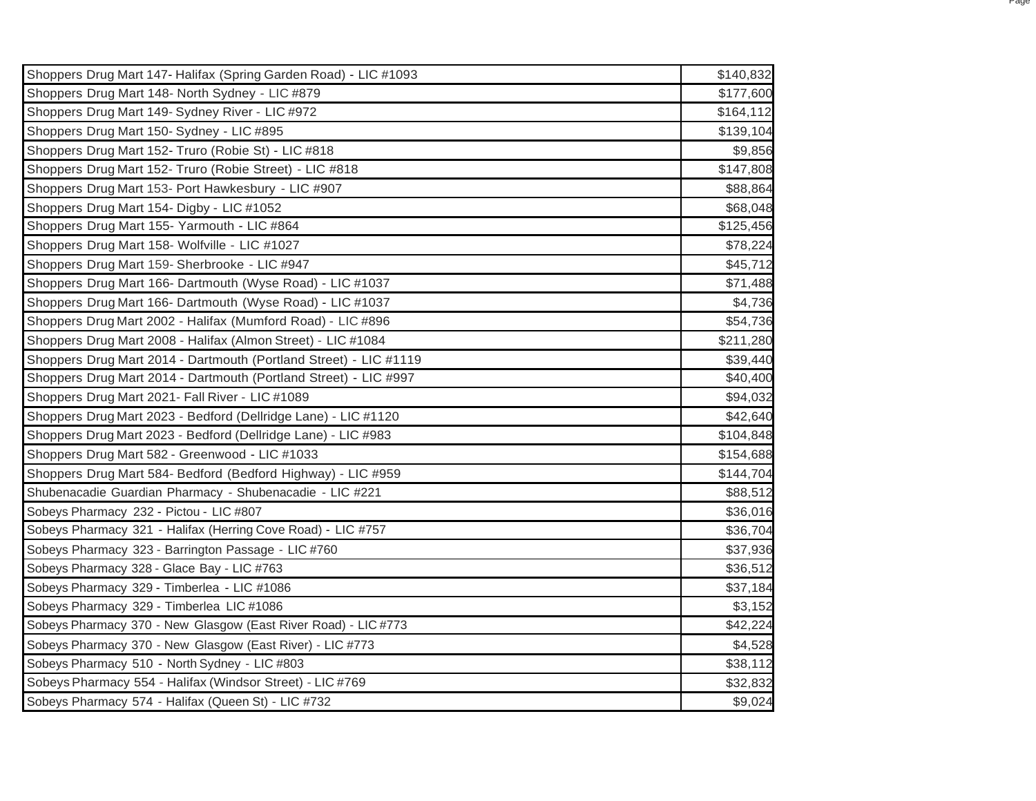| Shoppers Drug Mart 147- Halifax (Spring Garden Road) - LIC #1093  | \$140,832 |
|-------------------------------------------------------------------|-----------|
| Shoppers Drug Mart 148- North Sydney - LIC #879                   | \$177,600 |
| Shoppers Drug Mart 149-Sydney River - LIC #972                    | \$164,112 |
| Shoppers Drug Mart 150- Sydney - LIC #895                         | \$139,104 |
| Shoppers Drug Mart 152- Truro (Robie St) - LIC #818               | \$9,856   |
| Shoppers Drug Mart 152- Truro (Robie Street) - LIC #818           | \$147,808 |
| Shoppers Drug Mart 153- Port Hawkesbury - LIC #907                | \$88,864  |
| Shoppers Drug Mart 154- Digby - LIC #1052                         | \$68,048  |
| Shoppers Drug Mart 155- Yarmouth - LIC #864                       | \$125,456 |
| Shoppers Drug Mart 158- Wolfville - LIC #1027                     | \$78,224  |
| Shoppers Drug Mart 159- Sherbrooke - LIC #947                     | \$45,712  |
| Shoppers Drug Mart 166- Dartmouth (Wyse Road) - LIC #1037         | \$71,488  |
| Shoppers Drug Mart 166- Dartmouth (Wyse Road) - LIC #1037         | \$4,736   |
| Shoppers Drug Mart 2002 - Halifax (Mumford Road) - LIC #896       | \$54,736  |
| Shoppers Drug Mart 2008 - Halifax (Almon Street) - LIC #1084      | \$211,280 |
| Shoppers Drug Mart 2014 - Dartmouth (Portland Street) - LIC #1119 | \$39,440  |
| Shoppers Drug Mart 2014 - Dartmouth (Portland Street) - LIC #997  | \$40,400  |
| Shoppers Drug Mart 2021- Fall River - LIC #1089                   | \$94,032  |
| Shoppers Drug Mart 2023 - Bedford (Dellridge Lane) - LIC #1120    | \$42,640  |
| Shoppers Drug Mart 2023 - Bedford (Dellridge Lane) - LIC #983     | \$104,848 |
| Shoppers Drug Mart 582 - Greenwood - LIC #1033                    | \$154,688 |
| Shoppers Drug Mart 584- Bedford (Bedford Highway) - LIC #959      | \$144,704 |
| Shubenacadie Guardian Pharmacy - Shubenacadie - LIC #221          | \$88,512  |
| Sobeys Pharmacy 232 - Pictou - LIC #807                           | \$36,016  |
| Sobeys Pharmacy 321 - Halifax (Herring Cove Road) - LIC #757      | \$36,704  |
| Sobeys Pharmacy 323 - Barrington Passage - LIC #760               | \$37,936  |
| Sobeys Pharmacy 328 - Glace Bay - LIC #763                        | \$36,512  |
| Sobeys Pharmacy 329 - Timberlea - LIC #1086                       | \$37,184  |
| Sobeys Pharmacy 329 - Timberlea LIC #1086                         | \$3,152   |
| Sobeys Pharmacy 370 - New Glasgow (East River Road) - LIC #773    | \$42,224  |
| Sobeys Pharmacy 370 - New Glasgow (East River) - LIC #773         | \$4,528   |
| Sobeys Pharmacy 510 - North Sydney - LIC #803                     | \$38,112  |
| Sobeys Pharmacy 554 - Halifax (Windsor Street) - LIC #769         | \$32,832  |
| Sobeys Pharmacy 574 - Halifax (Queen St) - LIC #732               | \$9,024   |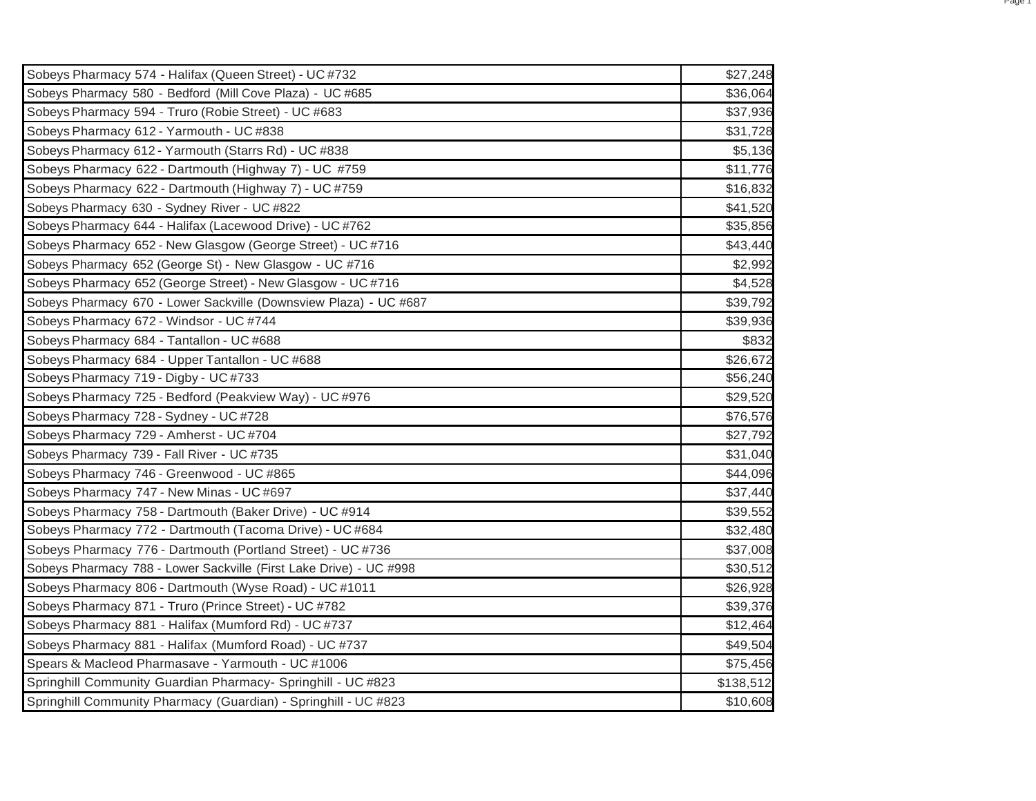| Sobeys Pharmacy 574 - Halifax (Queen Street) - UC #732             | \$27,248  |
|--------------------------------------------------------------------|-----------|
| Sobeys Pharmacy 580 - Bedford (Mill Cove Plaza) - UC #685          | \$36,064  |
| Sobeys Pharmacy 594 - Truro (Robie Street) - UC #683               | \$37,936  |
| Sobeys Pharmacy 612 - Yarmouth - UC #838                           | \$31,728  |
| Sobeys Pharmacy 612 - Yarmouth (Starrs Rd) - UC #838               | \$5,136   |
| Sobeys Pharmacy 622 - Dartmouth (Highway 7) - UC #759              | \$11,776  |
| Sobeys Pharmacy 622 - Dartmouth (Highway 7) - UC #759              | \$16,832  |
| Sobeys Pharmacy 630 - Sydney River - UC #822                       | \$41,520  |
| Sobeys Pharmacy 644 - Halifax (Lacewood Drive) - UC #762           | \$35,856  |
| Sobeys Pharmacy 652 - New Glasgow (George Street) - UC #716        | \$43,440  |
| Sobeys Pharmacy 652 (George St) - New Glasgow - UC #716            | \$2,992   |
| Sobeys Pharmacy 652 (George Street) - New Glasgow - UC #716        | \$4,528   |
| Sobeys Pharmacy 670 - Lower Sackville (Downsview Plaza) - UC #687  | \$39,792  |
| Sobeys Pharmacy 672 - Windsor - UC #744                            | \$39,936  |
| Sobeys Pharmacy 684 - Tantallon - UC #688                          | \$832     |
| Sobeys Pharmacy 684 - Upper Tantallon - UC #688                    | \$26,672  |
| Sobeys Pharmacy 719 - Digby - UC #733                              | \$56,240  |
| Sobeys Pharmacy 725 - Bedford (Peakview Way) - UC #976             | \$29,520  |
| Sobeys Pharmacy 728 - Sydney - UC #728                             | \$76,576  |
| Sobeys Pharmacy 729 - Amherst - UC #704                            | \$27,792  |
| Sobeys Pharmacy 739 - Fall River - UC #735                         | \$31,040  |
| Sobeys Pharmacy 746 - Greenwood - UC #865                          | \$44,096  |
| Sobeys Pharmacy 747 - New Minas - UC #697                          | \$37,440  |
| Sobeys Pharmacy 758 - Dartmouth (Baker Drive) - UC #914            | \$39,552  |
| Sobeys Pharmacy 772 - Dartmouth (Tacoma Drive) - UC #684           | \$32,480  |
| Sobeys Pharmacy 776 - Dartmouth (Portland Street) - UC #736        | \$37,008  |
| Sobeys Pharmacy 788 - Lower Sackville (First Lake Drive) - UC #998 | \$30,512  |
| Sobeys Pharmacy 806 - Dartmouth (Wyse Road) - UC #1011             | \$26,928  |
| Sobeys Pharmacy 871 - Truro (Prince Street) - UC #782              | \$39,376  |
| Sobeys Pharmacy 881 - Halifax (Mumford Rd) - UC #737               | \$12,464  |
| Sobeys Pharmacy 881 - Halifax (Mumford Road) - UC #737             | \$49,504  |
| Spears & Macleod Pharmasave - Yarmouth - UC #1006                  | \$75,456  |
| Springhill Community Guardian Pharmacy- Springhill - UC #823       | \$138,512 |
| Springhill Community Pharmacy (Guardian) - Springhill - UC #823    | \$10,608  |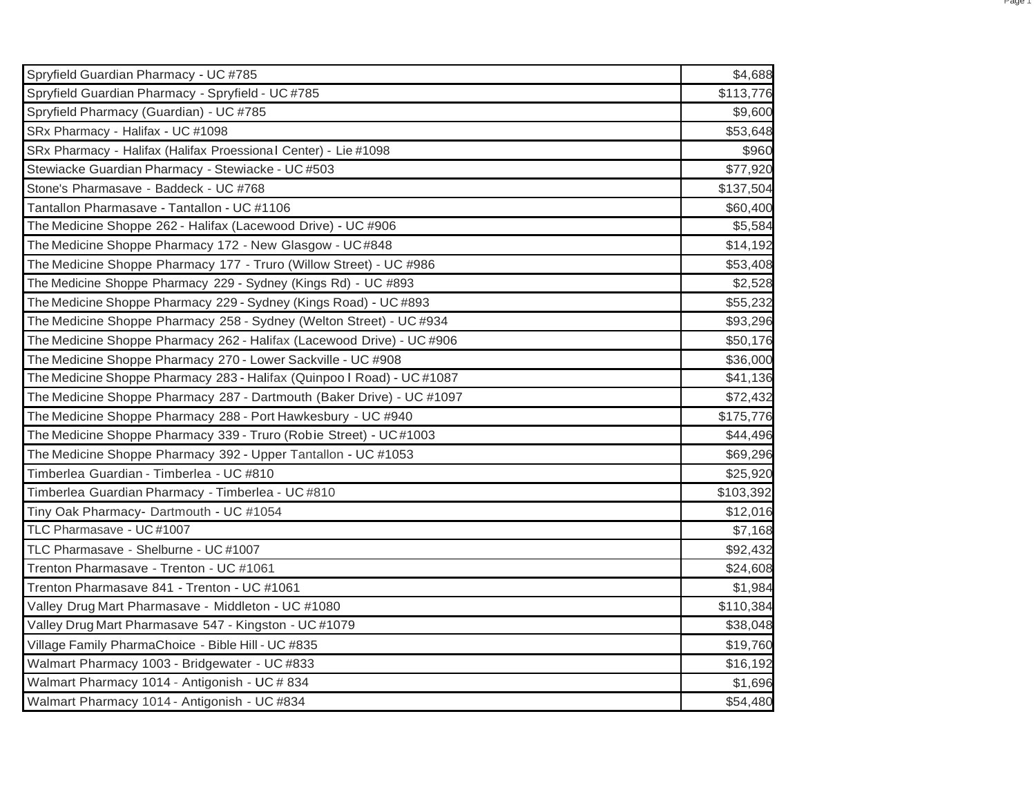| Spryfield Guardian Pharmacy - UC #785                                  | \$4,688   |
|------------------------------------------------------------------------|-----------|
| Spryfield Guardian Pharmacy - Spryfield - UC #785                      | \$113,776 |
| Spryfield Pharmacy (Guardian) - UC #785                                | \$9,600   |
| SRx Pharmacy - Halifax - UC #1098                                      | \$53,648  |
| SRx Pharmacy - Halifax (Halifax Proessional Center) - Lie #1098        | \$960     |
| Stewiacke Guardian Pharmacy - Stewiacke - UC #503                      | \$77,920  |
| Stone's Pharmasave - Baddeck - UC #768                                 | \$137,504 |
| Tantallon Pharmasave - Tantallon - UC #1106                            | \$60,400  |
| The Medicine Shoppe 262 - Halifax (Lacewood Drive) - UC #906           | \$5,584   |
| The Medicine Shoppe Pharmacy 172 - New Glasgow - UC#848                | \$14,192  |
| The Medicine Shoppe Pharmacy 177 - Truro (Willow Street) - UC #986     | \$53,408  |
| The Medicine Shoppe Pharmacy 229 - Sydney (Kings Rd) - UC #893         | \$2,528   |
| The Medicine Shoppe Pharmacy 229 - Sydney (Kings Road) - UC #893       | \$55,232  |
| The Medicine Shoppe Pharmacy 258 - Sydney (Welton Street) - UC #934    | \$93,296  |
| The Medicine Shoppe Pharmacy 262 - Halifax (Lacewood Drive) - UC #906  | \$50,176  |
| The Medicine Shoppe Pharmacy 270 - Lower Sackville - UC #908           | \$36,000  |
| The Medicine Shoppe Pharmacy 283 - Halifax (Quinpoo I Road) - UC #1087 | \$41,136  |
| The Medicine Shoppe Pharmacy 287 - Dartmouth (Baker Drive) - UC #1097  | \$72,432  |
| The Medicine Shoppe Pharmacy 288 - Port Hawkesbury - UC #940           | \$175,776 |
| The Medicine Shoppe Pharmacy 339 - Truro (Robie Street) - UC#1003      | \$44,496  |
| The Medicine Shoppe Pharmacy 392 - Upper Tantallon - UC #1053          | \$69,296  |
| Timberlea Guardian - Timberlea - UC #810                               | \$25,920  |
| Timberlea Guardian Pharmacy - Timberlea - UC #810                      | \$103,392 |
| Tiny Oak Pharmacy- Dartmouth - UC #1054                                | \$12,016  |
| TLC Pharmasave - UC #1007                                              | \$7,168   |
| TLC Pharmasave - Shelburne - UC #1007                                  | \$92,432  |
| Trenton Pharmasave - Trenton - UC #1061                                | \$24,608  |
| Trenton Pharmasave 841 - Trenton - UC #1061                            | \$1,984   |
| Valley Drug Mart Pharmasave - Middleton - UC #1080                     | \$110,384 |
| Valley Drug Mart Pharmasave 547 - Kingston - UC #1079                  | \$38,048  |
| Village Family PharmaChoice - Bible Hill - UC #835                     | \$19,760  |
| Walmart Pharmacy 1003 - Bridgewater - UC #833                          | \$16,192  |
| Walmart Pharmacy 1014 - Antigonish - UC # 834                          | \$1,696   |
| Walmart Pharmacy 1014 - Antigonish - UC #834                           | \$54,480  |